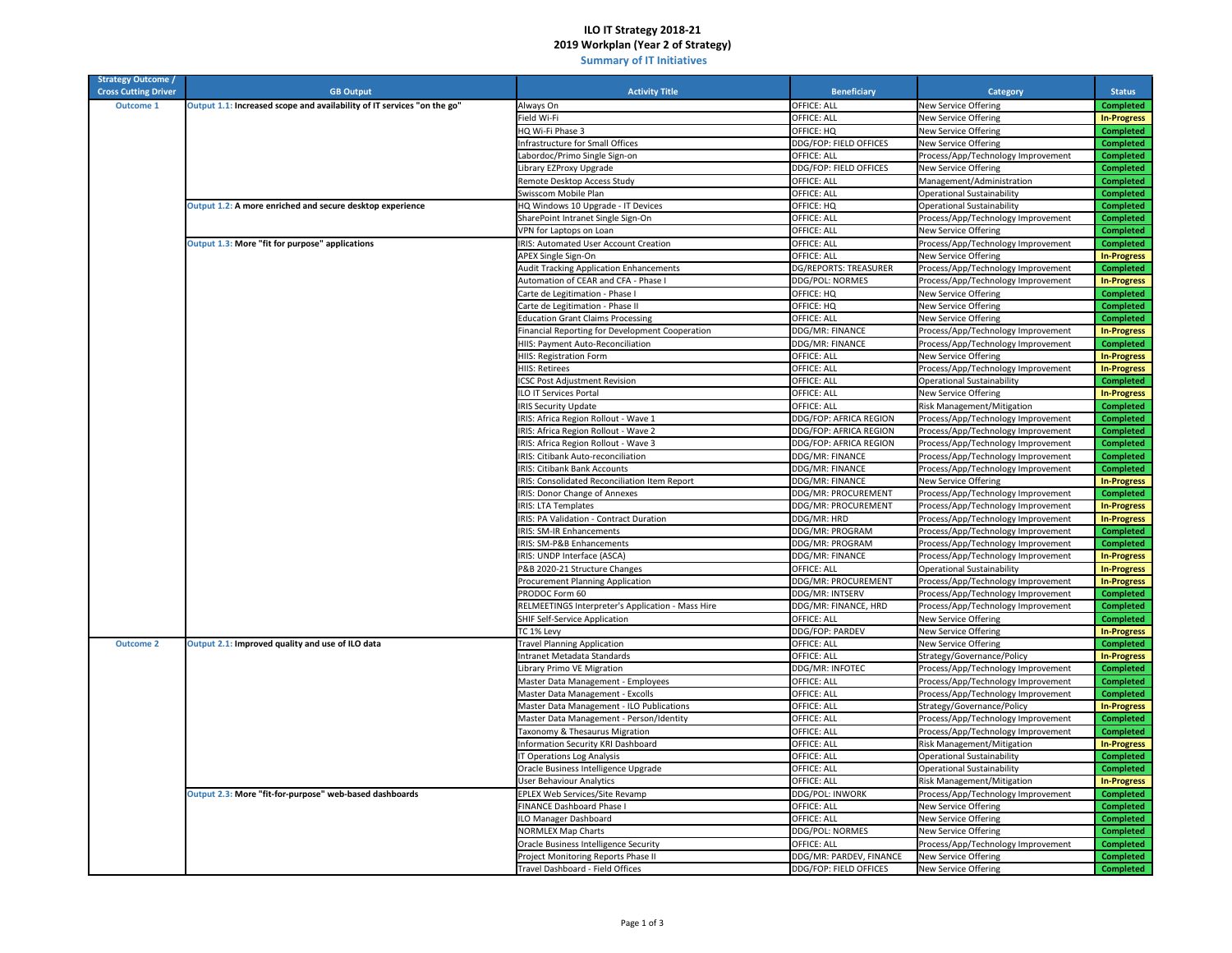## **ILO IT Strategy 2018‐21 2019 Workplan (Year 2 of Strategy)**

 **Summary of IT Initiatives**

| <b>Strategy Outcome /</b><br><b>Cross Cutting Driver</b> | <b>GB Output</b>                                                        | <b>Activity Title</b>                             | <b>Beneficiary</b>      | Category                           | <b>Status</b>      |
|----------------------------------------------------------|-------------------------------------------------------------------------|---------------------------------------------------|-------------------------|------------------------------------|--------------------|
| <b>Outcome 1</b>                                         | Output 1.1: Increased scope and availability of IT services "on the go" | Always On                                         | OFFICE: ALL             | <b>New Service Offering</b>        | <b>Completed</b>   |
|                                                          |                                                                         | Field Wi-Fi                                       | OFFICE: ALL             | New Service Offering               | <b>In-Progress</b> |
|                                                          |                                                                         | HQ Wi-Fi Phase 3                                  | OFFICE: HQ              | New Service Offering               | <b>Completed</b>   |
|                                                          |                                                                         | nfrastructure for Small Offices                   | DDG/FOP: FIELD OFFICES  | New Service Offering               | <b>Completed</b>   |
|                                                          |                                                                         | abordoc/Primo Single Sign-on                      | OFFICE: ALL             | Process/App/Technology Improvement | <b>Completed</b>   |
|                                                          |                                                                         | ibrary EZProxy Upgrade                            | DDG/FOP: FIELD OFFICES  | New Service Offering               | <b>Completed</b>   |
|                                                          |                                                                         | Remote Desktop Access Study                       | OFFICE: ALL             | Management/Administration          | <b>Completed</b>   |
|                                                          |                                                                         | Swisscom Mobile Plan                              | OFFICE: ALL             | <b>Operational Sustainability</b>  | <b>Completed</b>   |
|                                                          | Output 1.2: A more enriched and secure desktop experience               | HQ Windows 10 Upgrade - IT Devices                | OFFICE: HQ              | <b>Operational Sustainability</b>  | <b>Completed</b>   |
|                                                          |                                                                         | SharePoint Intranet Single Sign-On                | OFFICE: ALL             | Process/App/Technology Improvement | <b>Completed</b>   |
|                                                          |                                                                         | VPN for Laptops on Loan                           | OFFICE: ALL             | New Service Offering               | <b>Completed</b>   |
|                                                          | Output 1.3: More "fit for purpose" applications                         | IRIS: Automated User Account Creation             | OFFICE: ALL             | Process/App/Technology Improvement | <b>Completed</b>   |
|                                                          |                                                                         | APEX Single Sign-On                               | OFFICE: ALL             | New Service Offering               | <b>In-Progress</b> |
|                                                          |                                                                         | <b>Audit Tracking Application Enhancements</b>    | DG/REPORTS: TREASURER   | Process/App/Technology Improvement | <b>Completed</b>   |
|                                                          |                                                                         | Automation of CEAR and CFA - Phase I              | DDG/POL: NORMES         | Process/App/Technology Improvement | <b>In-Progress</b> |
|                                                          |                                                                         | Carte de Legitimation - Phase I                   | OFFICE: HQ              | New Service Offering               | <b>Completed</b>   |
|                                                          |                                                                         | Carte de Legitimation - Phase II                  | OFFICE: HQ              | New Service Offering               | <b>Completed</b>   |
|                                                          |                                                                         | <b>Education Grant Claims Processing</b>          | <b>OFFICE: ALL</b>      | <b>New Service Offering</b>        | <b>Completed</b>   |
|                                                          |                                                                         | Financial Reporting for Development Cooperation   | DDG/MR: FINANCE         | Process/App/Technology Improvement | <b>In-Progress</b> |
|                                                          |                                                                         | HIIS: Payment Auto-Reconciliation                 | DDG/MR: FINANCE         | Process/App/Technology Improvement | <b>Completed</b>   |
|                                                          |                                                                         | HIIS: Registration Form                           | OFFICE: ALL             | <b>New Service Offering</b>        | <b>In-Progress</b> |
|                                                          |                                                                         | HIIS: Retirees                                    | OFFICE: ALL             | Process/App/Technology Improvement | <b>In-Progress</b> |
|                                                          |                                                                         | <b>ICSC Post Adjustment Revision</b>              | OFFICE: ALL             | <b>Operational Sustainability</b>  | <b>Completed</b>   |
|                                                          |                                                                         | <b>ILO IT Services Portal</b>                     | OFFICE: ALL             | New Service Offering               | <b>In-Progress</b> |
|                                                          |                                                                         | <b>IRIS Security Update</b>                       | OFFICE: ALL             | Risk Management/Mitigation         | <b>Completed</b>   |
|                                                          |                                                                         | IRIS: Africa Region Rollout - Wave 1              | DDG/FOP: AFRICA REGION  | Process/App/Technology Improvement | <b>Completed</b>   |
|                                                          |                                                                         | IRIS: Africa Region Rollout - Wave 2              | DDG/FOP: AFRICA REGION  | Process/App/Technology Improvement | <b>Completed</b>   |
|                                                          |                                                                         | IRIS: Africa Region Rollout - Wave 3              | DDG/FOP: AFRICA REGION  | Process/App/Technology Improvement | <b>Completed</b>   |
|                                                          |                                                                         | IRIS: Citibank Auto-reconciliation                | DDG/MR: FINANCE         | Process/App/Technology Improvement | <b>Completed</b>   |
|                                                          |                                                                         | <b>IRIS: Citibank Bank Accounts</b>               | DDG/MR: FINANCE         | Process/App/Technology Improvement | <b>Completed</b>   |
|                                                          |                                                                         | IRIS: Consolidated Reconciliation Item Report     | DDG/MR: FINANCE         | New Service Offering               | <b>In-Progress</b> |
|                                                          |                                                                         | IRIS: Donor Change of Annexes                     | DDG/MR: PROCUREMENT     | Process/App/Technology Improvement | <b>Completed</b>   |
|                                                          |                                                                         | <b>IRIS: LTA Templates</b>                        | DDG/MR: PROCUREMENT     | Process/App/Technology Improvement | <b>In-Progress</b> |
|                                                          |                                                                         | IRIS: PA Validation - Contract Duration           | DDG/MR: HRD             | Process/App/Technology Improvement | <b>In-Progress</b> |
|                                                          |                                                                         | <b>IRIS: SM-IR Enhancements</b>                   | DDG/MR: PROGRAM         | Process/App/Technology Improvement | <b>Completed</b>   |
|                                                          |                                                                         | IRIS: SM-P&B Enhancements                         | DDG/MR: PROGRAM         | Process/App/Technology Improvement | <b>Completed</b>   |
|                                                          |                                                                         | IRIS: UNDP Interface (ASCA)                       | DDG/MR: FINANCE         | Process/App/Technology Improvement | <b>In-Progress</b> |
|                                                          |                                                                         | P&B 2020-21 Structure Changes                     | OFFICE: ALL             | <b>Operational Sustainability</b>  | <b>In-Progress</b> |
|                                                          |                                                                         | Procurement Planning Application                  | DDG/MR: PROCUREMENT     | Process/App/Technology Improvement | <b>In-Progress</b> |
|                                                          |                                                                         | PRODOC Form 60                                    | DDG/MR: INTSERV         | Process/App/Technology Improvement | <b>Completed</b>   |
|                                                          |                                                                         | RELMEETINGS Interpreter's Application - Mass Hire | DDG/MR: FINANCE, HRD    | Process/App/Technology Improvement | <b>Completed</b>   |
|                                                          |                                                                         | SHIF Self-Service Application                     | OFFICE: ALL             | <b>New Service Offering</b>        | <b>Completed</b>   |
|                                                          |                                                                         | TC 1% Levy                                        | DDG/FOP: PARDEV         | New Service Offering               | <b>In-Progress</b> |
| <b>Outcome 2</b>                                         | Output 2.1: Improved quality and use of ILO data                        | <b>Travel Planning Application</b>                | OFFICE: ALL             | New Service Offering               | <b>Completed</b>   |
|                                                          |                                                                         | Intranet Metadata Standards                       | OFFICE: ALL             | Strategy/Governance/Policy         | <b>In-Progress</b> |
|                                                          |                                                                         | Library Primo VE Migration                        | DDG/MR: INFOTEC         | Process/App/Technology Improvement | <b>Completed</b>   |
|                                                          |                                                                         | Master Data Management - Employees                | OFFICE: ALL             | Process/App/Technology Improvement | <b>Completed</b>   |
|                                                          |                                                                         | Master Data Management - Excolls                  | OFFICE: ALL             | Process/App/Technology Improvement | <b>Completed</b>   |
|                                                          |                                                                         | Master Data Management - ILO Publications         | OFFICE: ALL             | Strategy/Governance/Policy         | <b>In-Progress</b> |
|                                                          |                                                                         | Master Data Management - Person/Identity          | OFFICE: ALL             | Process/App/Technology Improvement | <b>Completed</b>   |
|                                                          |                                                                         | Taxonomy & Thesaurus Migration                    | OFFICE: ALL             | Process/App/Technology Improvement | <b>Completed</b>   |
|                                                          |                                                                         | Information Security KRI Dashboard                | OFFICE: ALL             | Risk Management/Mitigation         | <b>In-Progress</b> |
|                                                          |                                                                         | Operations Log Analysis                           | OFFICE: ALL             | <b>Operational Sustainability</b>  | <b>Completed</b>   |
|                                                          |                                                                         | Oracle Business Intelligence Upgrade              | OFFICE: ALL             | <b>Operational Sustainability</b>  | <b>Completed</b>   |
|                                                          |                                                                         | Jser Behaviour Analytics                          | OFFICE: ALL             | Risk Management/Mitigation         | <b>In-Progress</b> |
|                                                          | Output 2.3: More "fit-for-purpose" web-based dashboards                 | EPLEX Web Services/Site Revamp                    | DDG/POL: INWORK         | Process/App/Technology Improvement | <b>Completed</b>   |
|                                                          |                                                                         | FINANCE Dashboard Phase I                         | OFFICE: ALL             | New Service Offering               | <b>Completed</b>   |
|                                                          |                                                                         | ILO Manager Dashboard                             | <b>OFFICE: ALL</b>      | <b>New Service Offering</b>        | <b>Completed</b>   |
|                                                          |                                                                         | <b>NORMLEX Map Charts</b>                         | DDG/POL: NORMES         | New Service Offering               | <b>Completed</b>   |
|                                                          |                                                                         | Oracle Business Intelligence Security             | OFFICE: ALL             | Process/App/Technology Improvement | <b>Completed</b>   |
|                                                          |                                                                         | Project Monitoring Reports Phase II               | DDG/MR: PARDEV, FINANCE | <b>New Service Offering</b>        | <b>Completed</b>   |
|                                                          |                                                                         | Travel Dashboard - Field Offices                  | DDG/FOP: FIELD OFFICES  | <b>New Service Offering</b>        | <b>Completed</b>   |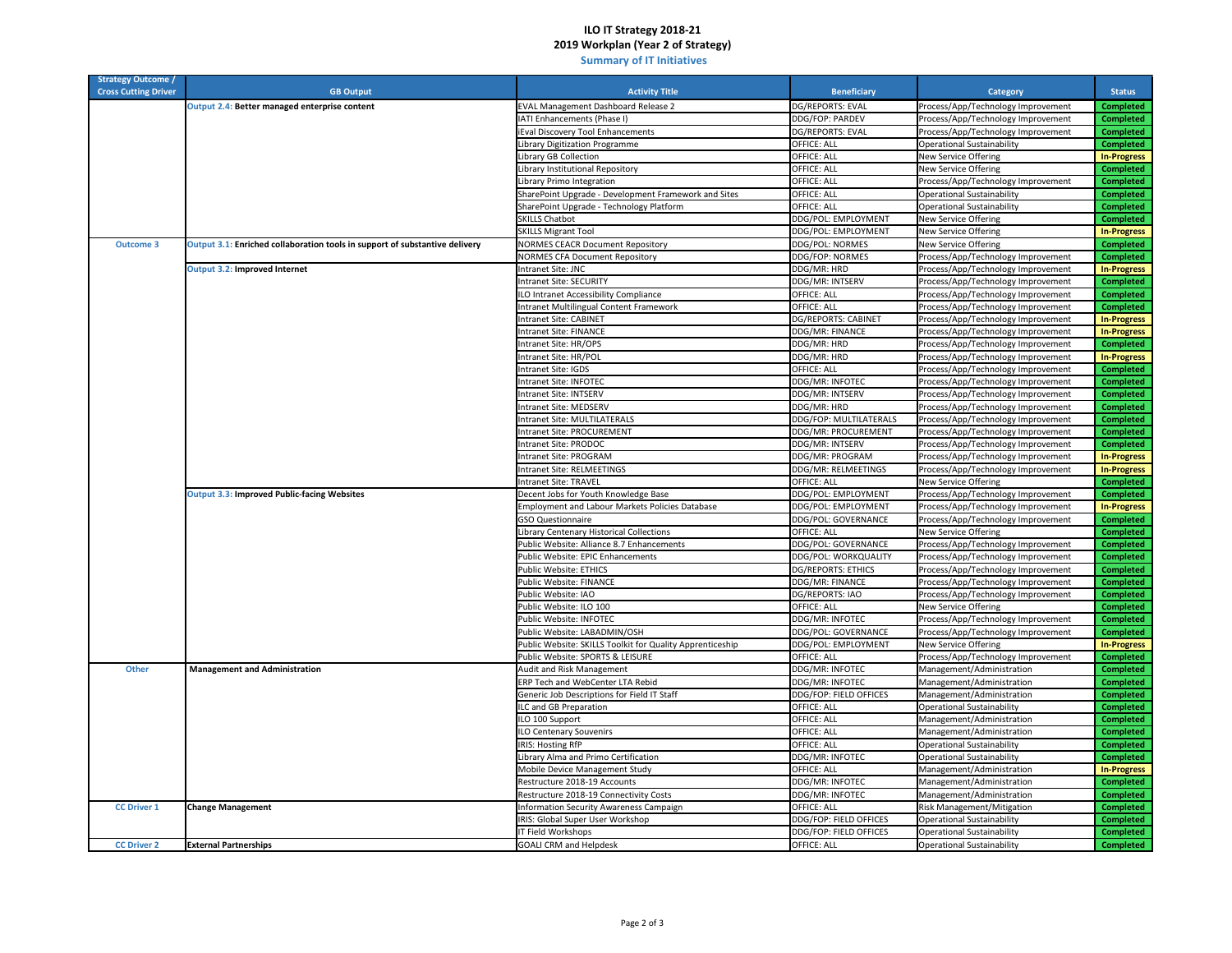## **ILO IT Strategy 2018‐21 2019 Workplan (Year 2 of Strategy)**

 **Summary of IT Initiatives**

| <b>Strategy Outcome /</b>   |                                                                             |                                                           |                           |                                    |                    |
|-----------------------------|-----------------------------------------------------------------------------|-----------------------------------------------------------|---------------------------|------------------------------------|--------------------|
| <b>Cross Cutting Driver</b> | <b>GB Output</b>                                                            | <b>Activity Title</b>                                     | <b>Beneficiary</b>        | Category                           | <b>Status</b>      |
|                             | Output 2.4: Better managed enterprise content                               | <b>EVAL Management Dashboard Release 2</b>                | DG/REPORTS: EVAL          | Process/App/Technology Improvement | <b>Completed</b>   |
|                             |                                                                             | IATI Enhancements (Phase I)                               | DDG/FOP: PARDEV           | Process/App/Technology Improvement | <b>Completed</b>   |
|                             |                                                                             | Eval Discovery Tool Enhancements                          | DG/REPORTS: EVAL          | Process/App/Technology Improvement | <b>Completed</b>   |
|                             |                                                                             | Library Digitization Programme                            | OFFICE: ALL               | <b>Operational Sustainability</b>  | <b>Completed</b>   |
|                             |                                                                             | Library GB Collection                                     | OFFICE: ALL               | New Service Offering               | <b>In-Progress</b> |
|                             |                                                                             | Library Institutional Repository                          | OFFICE: ALL               | New Service Offering               | <b>Completed</b>   |
|                             |                                                                             | Library Primo Integration                                 | OFFICE: ALL               | Process/App/Technology Improvement | <b>Completed</b>   |
|                             |                                                                             | SharePoint Upgrade - Development Framework and Sites      | OFFICE: ALL               | <b>Operational Sustainability</b>  | <b>Completed</b>   |
|                             |                                                                             | SharePoint Upgrade - Technology Platform                  | OFFICE: ALL               | <b>Operational Sustainability</b>  | <b>Completed</b>   |
|                             |                                                                             | <b>SKILLS Chatbot</b>                                     | DDG/POL: EMPLOYMENT       | New Service Offering               | <b>Completed</b>   |
|                             |                                                                             | <b>SKILLS Migrant Tool</b>                                | DDG/POL: EMPLOYMENT       | New Service Offering               | <b>In-Progress</b> |
| <b>Outcome 3</b>            | Output 3.1: Enriched collaboration tools in support of substantive delivery | <b>NORMES CEACR Document Repository</b>                   | DDG/POL: NORMES           | New Service Offering               | <b>Completed</b>   |
|                             |                                                                             | <b>NORMES CFA Document Repository</b>                     | DDG/FOP: NORMES           | Process/App/Technology Improvement | <b>Completed</b>   |
|                             | Output 3.2: Improved Internet                                               | Intranet Site: JNC                                        | DDG/MR: HRD               | Process/App/Technology Improvement | <b>In-Progress</b> |
|                             |                                                                             | Intranet Site: SECURITY                                   | DDG/MR: INTSERV           | Process/App/Technology Improvement | <b>Completed</b>   |
|                             |                                                                             | ILO Intranet Accessibility Compliance                     | OFFICE: ALL               | Process/App/Technology Improvement | <b>Completed</b>   |
|                             |                                                                             | Intranet Multilingual Content Framework                   | OFFICE: ALL               | Process/App/Technology Improvement | <b>Completed</b>   |
|                             |                                                                             | Intranet Site: CABINET                                    | DG/REPORTS: CABINET       | Process/App/Technology Improvement | <b>In-Progress</b> |
|                             |                                                                             | <b>Intranet Site: FINANCE</b>                             | DDG/MR: FINANCE           | Process/App/Technology Improvement | <b>In-Progress</b> |
|                             |                                                                             | Intranet Site: HR/OPS                                     | DDG/MR: HRD               | Process/App/Technology Improvement | <b>Completed</b>   |
|                             |                                                                             | Intranet Site: HR/POL                                     | DDG/MR: HRD               | Process/App/Technology Improvement | <b>In-Progress</b> |
|                             |                                                                             | ntranet Site: IGDS                                        | OFFICE: ALL               | Process/App/Technology Improvement | <b>Completed</b>   |
|                             |                                                                             | Intranet Site: INFOTEC                                    | DDG/MR: INFOTEC           |                                    | <b>Completed</b>   |
|                             |                                                                             | Intranet Site: INTSERV                                    | DDG/MR: INTSERV           | Process/App/Technology Improvement | <b>Completed</b>   |
|                             |                                                                             |                                                           |                           | Process/App/Technology Improvement |                    |
|                             |                                                                             | Intranet Site: MEDSERV                                    | DDG/MR: HRD               | Process/App/Technology Improvement | <b>Completed</b>   |
|                             |                                                                             | Intranet Site: MULTILATERALS                              | DDG/FOP: MULTILATERALS    | Process/App/Technology Improvement | <b>Completed</b>   |
|                             |                                                                             | <b>Intranet Site: PROCUREMENT</b>                         | DDG/MR: PROCUREMENT       | Process/App/Technology Improvement | <b>Completed</b>   |
|                             |                                                                             | Intranet Site: PRODOC                                     | DDG/MR: INTSERV           | Process/App/Technology Improvement | <b>Completed</b>   |
|                             |                                                                             | Intranet Site: PROGRAM                                    | DDG/MR: PROGRAM           | Process/App/Technology Improvement | <b>In-Progress</b> |
|                             |                                                                             | Intranet Site: RELMEETINGS                                | DDG/MR: RELMEETINGS       | Process/App/Technology Improvement | <b>In-Progress</b> |
|                             |                                                                             | Intranet Site: TRAVEL                                     | OFFICE: ALL               | New Service Offering               | <b>Completed</b>   |
|                             | <b>Output 3.3: Improved Public-facing Websites</b>                          | Decent Jobs for Youth Knowledge Base                      | DDG/POL: EMPLOYMENT       | Process/App/Technology Improvement | <b>Completed</b>   |
|                             |                                                                             | Employment and Labour Markets Policies Database           | DDG/POL: EMPLOYMENT       | Process/App/Technology Improvement | <b>In-Progress</b> |
|                             |                                                                             | <b>GSO Questionnaire</b>                                  | DDG/POL: GOVERNANCE       | Process/App/Technology Improvement | <b>Completed</b>   |
|                             |                                                                             | Library Centenary Historical Collections                  | OFFICE: ALL               | <b>New Service Offering</b>        | <b>Completed</b>   |
|                             |                                                                             | Public Website: Alliance 8.7 Enhancements                 | DDG/POL: GOVERNANCE       | Process/App/Technology Improvement | <b>Completed</b>   |
|                             |                                                                             | Public Website: EPIC Enhancements                         | DDG/POL: WORKQUALITY      | Process/App/Technology Improvement | <b>Completed</b>   |
|                             |                                                                             | Public Website: ETHICS                                    | <b>DG/REPORTS: ETHICS</b> | Process/App/Technology Improvement | <b>Completed</b>   |
|                             |                                                                             | Public Website: FINANCE                                   | DDG/MR: FINANCE           | Process/App/Technology Improvement | <b>Completed</b>   |
|                             |                                                                             | Public Website: IAO                                       | DG/REPORTS: IAO           | Process/App/Technology Improvement | <b>Completed</b>   |
|                             |                                                                             | Public Website: ILO 100                                   | OFFICE: ALL               | New Service Offering               | <b>Completed</b>   |
|                             |                                                                             | Public Website: INFOTEC                                   | DDG/MR: INFOTEC           | Process/App/Technology Improvement | <b>Completed</b>   |
|                             |                                                                             | Public Website: LABADMIN/OSH                              | DDG/POL: GOVERNANCE       | Process/App/Technology Improvement | <b>Completed</b>   |
|                             |                                                                             | Public Website: SKILLS Toolkit for Quality Apprenticeship | DDG/POL: EMPLOYMENT       | New Service Offering               | <b>In-Progress</b> |
|                             |                                                                             | Public Website: SPORTS & LEISURE                          | OFFICE: ALL               | Process/App/Technology Improvement | <b>Completed</b>   |
| Other                       | <b>Management and Administration</b>                                        | Audit and Risk Management                                 | DDG/MR: INFOTEC           | Management/Administration          | <b>Completed</b>   |
|                             |                                                                             | ERP Tech and WebCenter LTA Rebid                          | DDG/MR: INFOTEC           | Management/Administration          | <b>Completed</b>   |
|                             |                                                                             | Generic Job Descriptions for Field IT Staff               | DDG/FOP: FIELD OFFICES    | Management/Administration          | <b>Completed</b>   |
|                             |                                                                             | ILC and GB Preparation                                    | OFFICE: ALL               | <b>Operational Sustainability</b>  | <b>Completed</b>   |
|                             |                                                                             | ILO 100 Support                                           | OFFICE: ALL               | Management/Administration          | <b>Completed</b>   |
|                             |                                                                             | ILO Centenary Souvenirs                                   | OFFICE: ALL               | Management/Administration          | <b>Completed</b>   |
|                             |                                                                             | <b>IRIS: Hosting RfP</b>                                  | <b>OFFICE: ALL</b>        | Operational Sustainability         | <b>Completed</b>   |
|                             |                                                                             | ibrary Alma and Primo Certification                       | DDG/MR: INFOTEC           | <b>Operational Sustainability</b>  | <b>Completed</b>   |
|                             |                                                                             | Mobile Device Management Study                            | OFFICE: ALL               | Management/Administration          | <b>In-Progress</b> |
|                             |                                                                             | Restructure 2018-19 Accounts                              | DDG/MR: INFOTEC           | Management/Administration          | <b>Completed</b>   |
|                             |                                                                             | Restructure 2018-19 Connectivity Costs                    | DDG/MR: INFOTEC           | Management/Administration          | <b>Completed</b>   |
| <b>CC Driver 1</b>          | <b>Change Management</b>                                                    | Information Security Awareness Campaign                   | <b>OFFICE: ALL</b>        | Risk Management/Mitigation         | <b>Completed</b>   |
|                             |                                                                             | IRIS: Global Super User Workshop                          | DDG/FOP: FIELD OFFICES    | <b>Operational Sustainability</b>  | <b>Completed</b>   |
|                             |                                                                             |                                                           | DDG/FOP: FIELD OFFICES    |                                    |                    |
| <b>CC Driver 2</b>          |                                                                             | IT Field Workshops                                        |                           | <b>Operational Sustainability</b>  | <b>Completed</b>   |
|                             | <b>External Partnerships</b>                                                | <b>GOALI CRM and Helpdesk</b>                             | OFFICE: ALL               | <b>Operational Sustainability</b>  | <b>Completed</b>   |